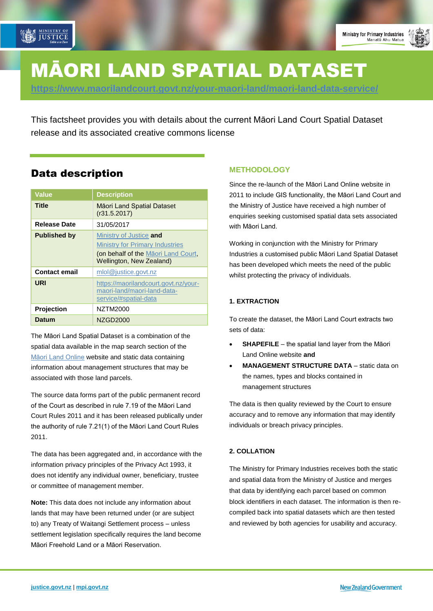

# MĀORI LAND SPATIAL DATASET

**<https://www.maorilandcourt.govt.nz/your-maori-land/maori-land-data-service/>**

This factsheet provides you with details about the current Māori Land Court Spatial Dataset release and its associated creative commons license

## Data description

| Value                | <b>Description</b>                                                                                                                   |
|----------------------|--------------------------------------------------------------------------------------------------------------------------------------|
| Title                | Māori Land Spatial Dataset<br>(r31.5.2017)                                                                                           |
| <b>Release Date</b>  | 31/05/2017                                                                                                                           |
| <b>Published by</b>  | Ministry of Justice and<br><b>Ministry for Primary Industries</b><br>(on behalf of the Maori Land Court,<br>Wellington, New Zealand) |
| <b>Contact email</b> | mlol@justice.govt.nz                                                                                                                 |
| URI                  | https://maorilandcourt.govt.nz/your-<br>maori-land/maori-land-data-<br>service/#spatial-data                                         |
| <b>Projection</b>    | NZTM2000                                                                                                                             |
| Datum                | <b>NZGD2000</b>                                                                                                                      |

The Māori Land Spatial Dataset is a combination of the spatial data available in the map search section of the [Māori Land Online](http://www.maorilandonline.govt.nz/) website and static data containing information about management structures that may be associated with those land parcels.

The source data forms part of the public permanent record of the Court as described in rule 7.19 of the Māori Land Court Rules 2011 and it has been released publically under the authority of rule 7.21(1) of the Māori Land Court Rules 2011.

The data has been aggregated and, in accordance with the information privacy principles of the Privacy Act 1993, it does not identify any individual owner, beneficiary, trustee or committee of management member.

**Note:** This data does not include any information about lands that may have been returned under (or are subject to) any Treaty of Waitangi Settlement process – unless settlement legislation specifically requires the land become Māori Freehold Land or a Māori Reservation.

#### **METHODOLOGY**

Since the re-launch of the Māori Land Online website in 2011 to include GIS functionality, the Māori Land Court and the Ministry of Justice have received a high number of enquiries seeking customised spatial data sets associated with Māori Land.

Working in conjunction with the Ministry for Primary Industries a customised public Māori Land Spatial Dataset has been developed which meets the need of the public whilst protecting the privacy of individuals.

#### **1. EXTRACTION**

To create the dataset, the Māori Land Court extracts two sets of data:

- **SHAPEFILE**  the spatial land layer from the Māori Land Online website **and**
- **MANAGEMENT STRUCTURE DATA**  static data on the names, types and blocks contained in management structures

The data is then quality reviewed by the Court to ensure accuracy and to remove any information that may identify individuals or breach privacy principles.

#### **2. COLLATION**

The Ministry for Primary Industries receives both the static and spatial data from the Ministry of Justice and merges that data by identifying each parcel based on common block identifiers in each dataset. The information is then recompiled back into spatial datasets which are then tested and reviewed by both agencies for usability and accuracy.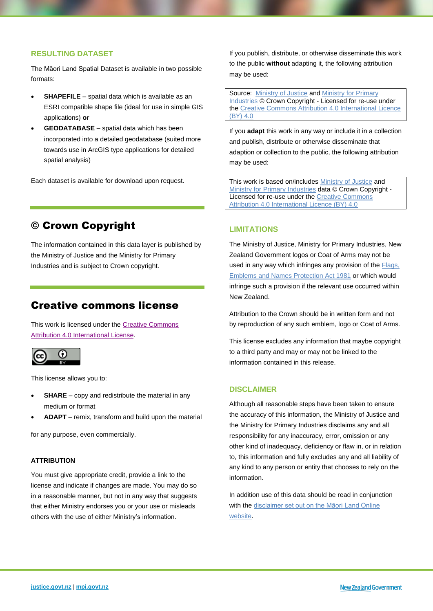#### **RESULTING DATASET**

The Māori Land Spatial Dataset is available in two possible formats:

- **SHAPEFILE**  spatial data which is available as an ESRI compatible shape file (ideal for use in simple GIS applications) **or**
- **GEODATABASE**  spatial data which has been incorporated into a detailed geodatabase (suited more towards use in ArcGIS type applications for detailed spatial analysis)

Each dataset is available for download upon request.

## © Crown Copyright

The information contained in this data layer is published by the Ministry of Justice and the Ministry for Primary Industries and is subject to Crown copyright.

### Creative commons license

This work is licensed under th[e Creative Commons](https://creativecommons.org/licenses/by/4.0/)  [Attribution 4.0 International](https://creativecommons.org/licenses/by/4.0/) License.



This license allows you to:

- **SHARE** copy and redistribute the material in any medium or format
- **ADAPT** remix, transform and build upon the material

for any purpose, even commercially.

#### **ATTRIBUTION**

You must give appropriate credit, provide a link to the license and indicate if changes are made. You may do so in a reasonable manner, but not in any way that suggests that either Ministry endorses you or your use or misleads others with the use of either Ministry's information.

If you publish, distribute, or otherwise disseminate this work to the public **without** adapting it, the following attribution may be used:

Source: [Ministry of Justice](http://justice.govt.nz/) and [Ministry for Primary](http://mpi.govt.nz/)  [Industries](http://mpi.govt.nz/) © Crown Copyright - Licensed for re-use under the [Creative Commons Attribution](https://creativecommons.org/licenses/by/4.0/) 4.0 International Licence [\(BY\) 4.0](https://creativecommons.org/licenses/by/4.0/)

If you **adapt** this work in any way or include it in a collection and publish, distribute or otherwise disseminate that adaption or collection to the public, the following attribution may be used:

This work is based on/includes [Ministry of Justice](http://justice.govt.nz/) and [Ministry for Primary Industries](http://mpi.govt.nz/) data © Crown Copyright - Licensed for re-use under th[e Creative Commons](https://creativecommons.org/licenses/by/4.0/)  [Attribution 4.0 International Licence \(BY\) 4.0](https://creativecommons.org/licenses/by/4.0/)

#### **LIMITATIONS**

The Ministry of Justice, Ministry for Primary Industries, New Zealand Government logos or Coat of Arms may not be used in any way which infringes any provision of the **Flags**, [Emblems and Names Protection Act 1981](http://www.legislation.govt.nz/act/public/1981/0047/latest/whole.html#dlm52216) or which would infringe such a provision if the relevant use occurred within New Zealand.

Attribution to the Crown should be in written form and not by reproduction of any such emblem, logo or Coat of Arms.

This license excludes any information that maybe copyright to a third party and may or may not be linked to the information contained in this release.

#### **DISCLAIMER**

Although all reasonable steps have been taken to ensure the accuracy of this information, the Ministry of Justice and the Ministry for Primary Industries disclaims any and all responsibility for any inaccuracy, error, omission or any other kind of inadequacy, deficiency or flaw in, or in relation to, this information and fully excludes any and all liability of any kind to any person or entity that chooses to rely on the information.

In addition use of this data should be read in conjunction with the [disclaimer set out on the Māori Land Online](http://www.maorilandonline.govt.nz/gis/disclaimer.htm)  [website.](http://www.maorilandonline.govt.nz/gis/disclaimer.htm)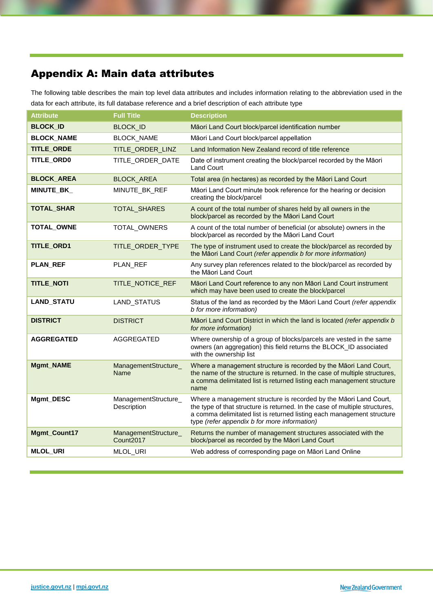# Appendix A: Main data attributes

The following table describes the main top level data attributes and includes information relating to the abbreviation used in the data for each attribute, its full database reference and a brief description of each attribute type

| <b>Attribute</b>  | <b>Full Title</b>                             | <b>Description</b>                                                                                                                                                                                                                                                         |
|-------------------|-----------------------------------------------|----------------------------------------------------------------------------------------------------------------------------------------------------------------------------------------------------------------------------------------------------------------------------|
| <b>BLOCK_ID</b>   | <b>BLOCK_ID</b>                               | Māori Land Court block/parcel identification number                                                                                                                                                                                                                        |
| <b>BLOCK_NAME</b> | BLOCK_NAME                                    | Māori Land Court block/parcel appellation                                                                                                                                                                                                                                  |
| <b>TITLE_ORDE</b> | TITLE_ORDER_LINZ                              | Land Information New Zealand record of title reference                                                                                                                                                                                                                     |
| TITLE_ORD0        | TITLE_ORDER_DATE                              | Date of instrument creating the block/parcel recorded by the Māori<br><b>Land Court</b>                                                                                                                                                                                    |
| <b>BLOCK_AREA</b> | <b>BLOCK_AREA</b>                             | Total area (in hectares) as recorded by the Māori Land Court                                                                                                                                                                                                               |
| <b>MINUTE_BK_</b> | MINUTE_BK_REF                                 | Māori Land Court minute book reference for the hearing or decision<br>creating the block/parcel                                                                                                                                                                            |
| TOTAL_SHAR        | TOTAL_SHARES                                  | A count of the total number of shares held by all owners in the<br>block/parcel as recorded by the Māori Land Court                                                                                                                                                        |
| TOTAL_OWNE        | TOTAL_OWNERS                                  | A count of the total number of beneficial (or absolute) owners in the<br>block/parcel as recorded by the Māori Land Court                                                                                                                                                  |
| TITLE_ORD1        | TITLE_ORDER_TYPE                              | The type of instrument used to create the block/parcel as recorded by<br>the Māori Land Court (refer appendix b for more information)                                                                                                                                      |
| <b>PLAN_REF</b>   | PLAN_REF                                      | Any survey plan references related to the block/parcel as recorded by<br>the Māori Land Court                                                                                                                                                                              |
| <b>TITLE_NOTI</b> | TITLE_NOTICE_REF                              | Māori Land Court reference to any non Māori Land Court instrument<br>which may have been used to create the block/parcel                                                                                                                                                   |
| <b>LAND_STATU</b> | LAND_STATUS                                   | Status of the land as recorded by the Māori Land Court (refer appendix<br>b for more information)                                                                                                                                                                          |
| <b>DISTRICT</b>   | <b>DISTRICT</b>                               | Māori Land Court District in which the land is located (refer appendix b<br>for more information)                                                                                                                                                                          |
| <b>AGGREGATED</b> | AGGREGATED                                    | Where ownership of a group of blocks/parcels are vested in the same<br>owners (an aggregation) this field returns the BLOCK_ID associated<br>with the ownership list                                                                                                       |
| Mgmt_NAME         | ManagementStructure_<br>Name                  | Where a management structure is recorded by the Māori Land Court,<br>the name of the structure is returned. In the case of multiple structures,<br>a comma delimitated list is returned listing each management structure<br>name                                          |
| Mgmt_DESC         | ManagementStructure_<br>Description           | Where a management structure is recorded by the Māori Land Court,<br>the type of that structure is returned. In the case of multiple structures,<br>a comma delimitated list is returned listing each management structure<br>type (refer appendix b for more information) |
| Mgmt_Count17      | ManagementStructure_<br>Count <sub>2017</sub> | Returns the number of management structures associated with the<br>block/parcel as recorded by the Māori Land Court                                                                                                                                                        |
| <b>MLOL_URI</b>   | MLOL_URI                                      | Web address of corresponding page on Māori Land Online                                                                                                                                                                                                                     |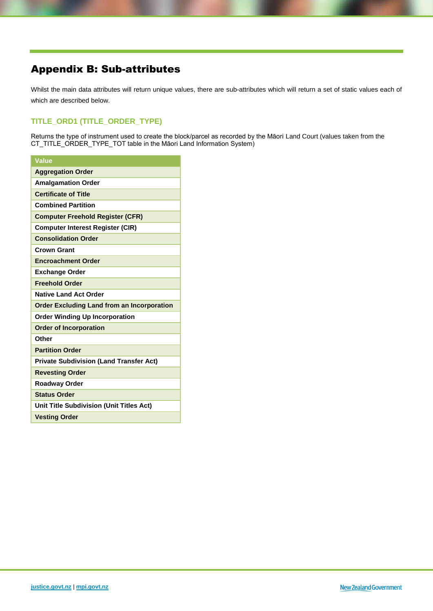## Appendix B: Sub-attributes

Whilst the main data attributes will return unique values, there are sub-attributes which will return a set of static values each of which are described below.

#### **TITLE\_ORD1 (TITLE\_ORDER\_TYPE)**

Returns the type of instrument used to create the block/parcel as recorded by the Māori Land Court (values taken from the CT\_TITLE\_ORDER\_TYPE\_TOT table in the Māori Land Information System)

| <b>Value</b>                                      |
|---------------------------------------------------|
| <b>Aggregation Order</b>                          |
| <b>Amalgamation Order</b>                         |
| <b>Certificate of Title</b>                       |
| <b>Combined Partition</b>                         |
| <b>Computer Freehold Register (CFR)</b>           |
| <b>Computer Interest Register (CIR)</b>           |
| <b>Consolidation Order</b>                        |
| <b>Crown Grant</b>                                |
| <b>Encroachment Order</b>                         |
| <b>Exchange Order</b>                             |
| <b>Freehold Order</b>                             |
| <b>Native Land Act Order</b>                      |
| <b>Order Excluding Land from an Incorporation</b> |
| <b>Order Winding Up Incorporation</b>             |
| <b>Order of Incorporation</b>                     |
| Other                                             |
| <b>Partition Order</b>                            |
| <b>Private Subdivision (Land Transfer Act)</b>    |
| <b>Revesting Order</b>                            |
| <b>Roadway Order</b>                              |
| <b>Status Order</b>                               |
| <b>Unit Title Subdivision (Unit Titles Act)</b>   |
| <b>Vesting Order</b>                              |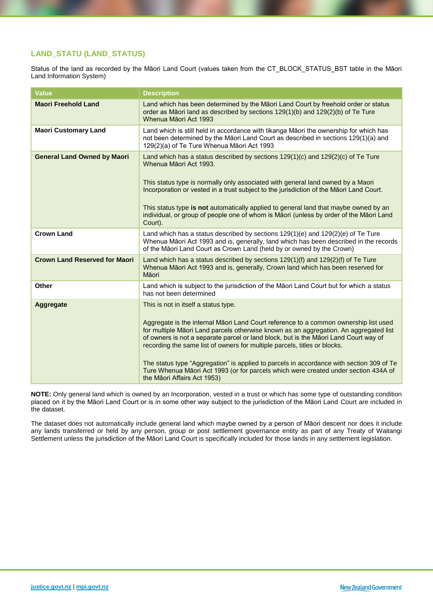#### **LAND\_STATU (LAND\_STATUS)**

Status of the land as recorded by the Māori Land Court (values taken from the CT\_BLOCK\_STATUS\_BST table in the Māori Land Information System)

| <b>Value</b>                         | <b>Description</b>                                                                                                                                                                                                                                                                                                                                                                                                                                                                                                                                                                                           |
|--------------------------------------|--------------------------------------------------------------------------------------------------------------------------------------------------------------------------------------------------------------------------------------------------------------------------------------------------------------------------------------------------------------------------------------------------------------------------------------------------------------------------------------------------------------------------------------------------------------------------------------------------------------|
| <b>Maori Freehold Land</b>           | Land which has been determined by the Māori Land Court by freehold order or status<br>order as Māori land as described by sections 129(1)(b) and 129(2)(b) of Te Ture<br>Whenua Māori Act 1993                                                                                                                                                                                                                                                                                                                                                                                                               |
| <b>Maori Customary Land</b>          | Land which is still held in accordance with tikanga Māori the ownership for which has<br>not been determined by the Māori Land Court as described in sections 129(1)(a) and<br>129(2)(a) of Te Ture Whenua Māori Act 1993                                                                                                                                                                                                                                                                                                                                                                                    |
| <b>General Land Owned by Maori</b>   | Land which has a status described by sections $129(1)(c)$ and $129(2)(c)$ of Te Ture<br>Whenua Māori Act 1993.<br>This status type is normally only associated with general land owned by a Maori<br>Incorporation or vested in a trust subject to the jurisdiction of the Māori Land Court.<br>This status type is not automatically applied to general land that maybe owned by an<br>individual, or group of people one of whom is Māori (unless by order of the Māori Land<br>Court).                                                                                                                    |
| <b>Crown Land</b>                    | Land which has a status described by sections $129(1)(e)$ and $129(2)(e)$ of Te Ture<br>Whenua Māori Act 1993 and is, generally, land which has been described in the records<br>of the Māori Land Court as Crown Land (held by or owned by the Crown)                                                                                                                                                                                                                                                                                                                                                       |
| <b>Crown Land Reserved for Maori</b> | Land which has a status described by sections $129(1)(f)$ and $129(2)(f)$ of Te Ture<br>Whenua Māori Act 1993 and is, generally, Crown land which has been reserved for<br>Māori                                                                                                                                                                                                                                                                                                                                                                                                                             |
| <b>Other</b>                         | Land which is subject to the jurisdiction of the Māori Land Court but for which a status<br>has not been determined                                                                                                                                                                                                                                                                                                                                                                                                                                                                                          |
| <b>Aggregate</b>                     | This is not in itself a status type.<br>Aggregate is the internal Māori Land Court reference to a common ownership list used<br>for multiple Māori Land parcels otherwise known as an aggregation. An aggregated list<br>of owners is not a separate parcel or land block, but is the Māori Land Court way of<br>recording the same list of owners for multiple parcels, titles or blocks.<br>The status type "Aggregation" is applied to parcels in accordance with section 309 of Te<br>Ture Whenua Māori Act 1993 (or for parcels which were created under section 434A of<br>the Māori Affairs Act 1953) |

**NOTE:** Only general land which is owned by an Incorporation, vested in a trust or which has some type of outstanding condition placed on it by the Māori Land Court or is in some other way subject to the jurisdiction of the Māori Land Court are included in the dataset.

The dataset does not automatically include general land which maybe owned by a person of Māori descent nor does it include any lands transferred or held by any person, group or post settlement governance entity as part of any Treaty of Waitangi Settlement unless the jurisdiction of the Māori Land Court is specifically included for those lands in any settlement legislation.